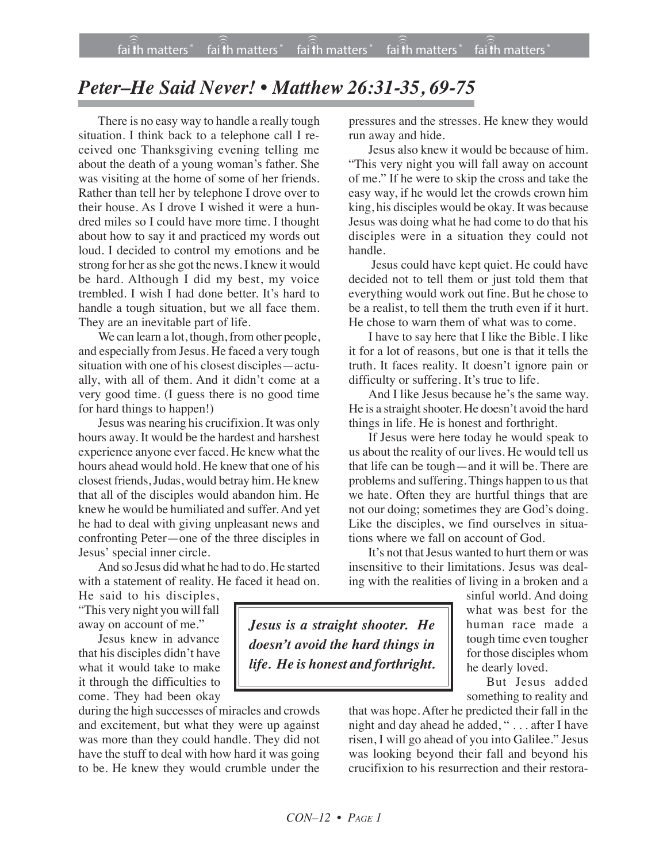## *Peter–He Said Never! • Matthew 26:31-35, 69-75*

There is no easy way to handle a really tough situation. I think back to a telephone call I received one Thanksgiving evening telling me about the death of a young woman's father. She was visiting at the home of some of her friends. Rather than tell her by telephone I drove over to their house. As I drove I wished it were a hundred miles so I could have more time. I thought about how to say it and practiced my words out loud. I decided to control my emotions and be strong for her as she got the news. I knew it would be hard. Although I did my best, my voice trembled. I wish I had done better. It's hard to handle a tough situation, but we all face them. They are an inevitable part of life.

We can learn a lot, though, from other people, and especially from Jesus. He faced a very tough situation with one of his closest disciples—actually, with all of them. And it didn't come at a very good time. (I guess there is no good time for hard things to happen!)

Jesus was nearing his crucifixion. It was only hours away. It would be the hardest and harshest experience anyone ever faced. He knew what the hours ahead would hold. He knew that one of his closest friends, Judas, would betray him. He knew that all of the disciples would abandon him. He knew he would be humiliated and suffer. And yet he had to deal with giving unpleasant news and confronting Peter—one of the three disciples in Jesus' special inner circle.

And so Jesus did what he had to do. He started with a statement of reality. He faced it head on.

He said to his disciples, "This very night you will fall away on account of me."

Jesus knew in advance that his disciples didn't have what it would take to make it through the difficulties to come. They had been okay

during the high successes of miracles and crowds and excitement, but what they were up against was more than they could handle. They did not have the stuff to deal with how hard it was going to be. He knew they would crumble under the pressures and the stresses. He knew they would run away and hide.

Jesus also knew it would be because of him. "This very night you will fall away on account of me." If he were to skip the cross and take the easy way, if he would let the crowds crown him king, his disciples would be okay. It was because Jesus was doing what he had come to do that his disciples were in a situation they could not handle.

Jesus could have kept quiet. He could have decided not to tell them or just told them that everything would work out fine. But he chose to be a realist, to tell them the truth even if it hurt. He chose to warn them of what was to come.

I have to say here that I like the Bible. I like it for a lot of reasons, but one is that it tells the truth. It faces reality. It doesn't ignore pain or difficulty or suffering. It's true to life.

And I like Jesus because he's the same way. He is a straight shooter. He doesn't avoid the hard things in life. He is honest and forthright.

If Jesus were here today he would speak to us about the reality of our lives. He would tell us that life can be tough—and it will be. There are problems and suffering. Things happen to us that we hate. Often they are hurtful things that are not our doing; sometimes they are God's doing. Like the disciples, we find ourselves in situations where we fall on account of God.

It's not that Jesus wanted to hurt them or was insensitive to their limitations. Jesus was dealing with the realities of living in a broken and a

*Jesus is a straight shooter. He doesn't avoid the hard things in life. He is honest and forthright.* sinful world. And doing what was best for the human race made a tough time even tougher for those disciples whom he dearly loved.

But Jesus added something to reality and

that was hope. After he predicted their fall in the night and day ahead he added, " . . . after I have risen, I will go ahead of you into Galilee." Jesus was looking beyond their fall and beyond his crucifixion to his resurrection and their restora-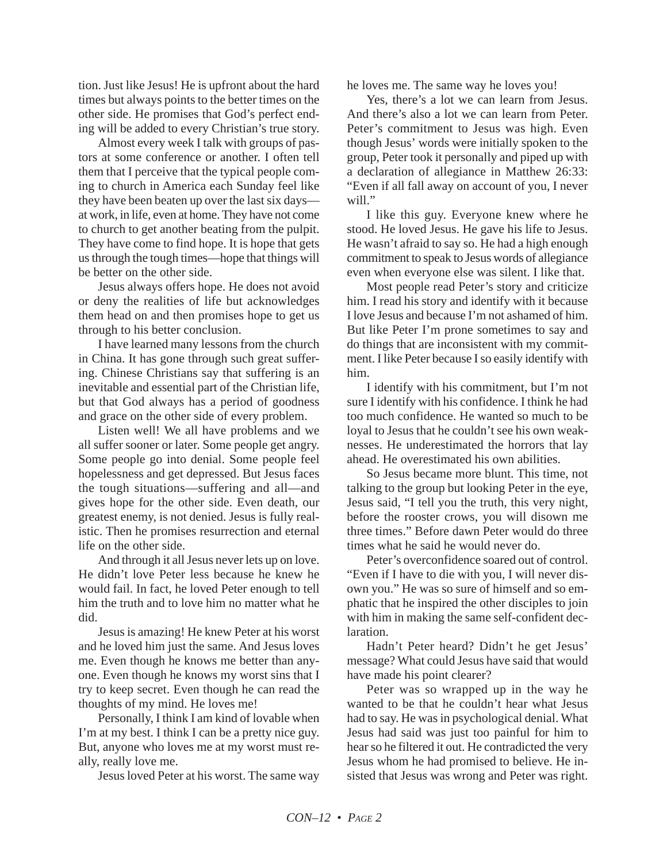tion. Just like Jesus! He is upfront about the hard times but always points to the better times on the other side. He promises that God's perfect ending will be added to every Christian's true story.

Almost every week I talk with groups of pastors at some conference or another. I often tell them that I perceive that the typical people coming to church in America each Sunday feel like they have been beaten up over the last six days at work, in life, even at home. They have not come to church to get another beating from the pulpit. They have come to find hope. It is hope that gets us through the tough times—hope that things will be better on the other side.

Jesus always offers hope. He does not avoid or deny the realities of life but acknowledges them head on and then promises hope to get us through to his better conclusion.

I have learned many lessons from the church in China. It has gone through such great suffering. Chinese Christians say that suffering is an inevitable and essential part of the Christian life, but that God always has a period of goodness and grace on the other side of every problem.

Listen well! We all have problems and we all suffer sooner or later. Some people get angry. Some people go into denial. Some people feel hopelessness and get depressed. But Jesus faces the tough situations—suffering and all—and gives hope for the other side. Even death, our greatest enemy, is not denied. Jesus is fully realistic. Then he promises resurrection and eternal life on the other side.

And through it all Jesus never lets up on love. He didn't love Peter less because he knew he would fail. In fact, he loved Peter enough to tell him the truth and to love him no matter what he did.

Jesus is amazing! He knew Peter at his worst and he loved him just the same. And Jesus loves me. Even though he knows me better than anyone. Even though he knows my worst sins that I try to keep secret. Even though he can read the thoughts of my mind. He loves me!

Personally, I think I am kind of lovable when I'm at my best. I think I can be a pretty nice guy. But, anyone who loves me at my worst must really, really love me.

Jesus loved Peter at his worst. The same way

he loves me. The same way he loves you!

Yes, there's a lot we can learn from Jesus. And there's also a lot we can learn from Peter. Peter's commitment to Jesus was high. Even though Jesus' words were initially spoken to the group, Peter took it personally and piped up with a declaration of allegiance in Matthew 26:33: "Even if all fall away on account of you, I never will."

I like this guy. Everyone knew where he stood. He loved Jesus. He gave his life to Jesus. He wasn't afraid to say so. He had a high enough commitment to speak to Jesus words of allegiance even when everyone else was silent. I like that.

Most people read Peter's story and criticize him. I read his story and identify with it because I love Jesus and because I'm not ashamed of him. But like Peter I'm prone sometimes to say and do things that are inconsistent with my commitment. I like Peter because I so easily identify with him.

I identify with his commitment, but I'm not sure I identify with his confidence. I think he had too much confidence. He wanted so much to be loyal to Jesus that he couldn't see his own weaknesses. He underestimated the horrors that lay ahead. He overestimated his own abilities.

So Jesus became more blunt. This time, not talking to the group but looking Peter in the eye, Jesus said, "I tell you the truth, this very night, before the rooster crows, you will disown me three times." Before dawn Peter would do three times what he said he would never do.

Peter's overconfidence soared out of control. "Even if I have to die with you, I will never disown you." He was so sure of himself and so emphatic that he inspired the other disciples to join with him in making the same self-confident declaration.

Hadn't Peter heard? Didn't he get Jesus' message? What could Jesus have said that would have made his point clearer?

Peter was so wrapped up in the way he wanted to be that he couldn't hear what Jesus had to say. He was in psychological denial. What Jesus had said was just too painful for him to hear so he filtered it out. He contradicted the very Jesus whom he had promised to believe. He insisted that Jesus was wrong and Peter was right.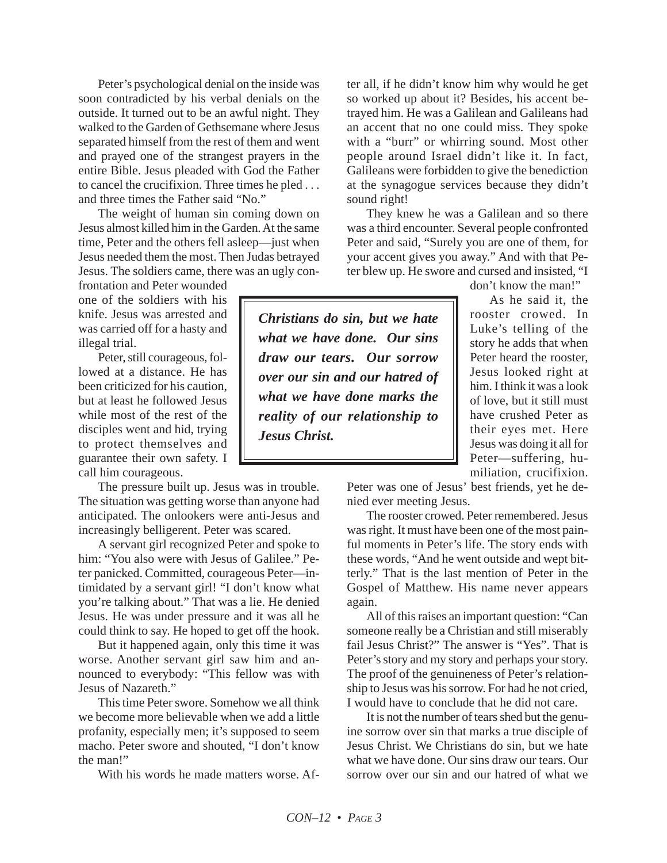Peter's psychological denial on the inside was soon contradicted by his verbal denials on the outside. It turned out to be an awful night. They walked to the Garden of Gethsemane where Jesus separated himself from the rest of them and went and prayed one of the strangest prayers in the entire Bible. Jesus pleaded with God the Father to cancel the crucifixion. Three times he pled . . . and three times the Father said "No."

The weight of human sin coming down on Jesus almost killed him in the Garden. At the same time, Peter and the others fell asleep—just when Jesus needed them the most. Then Judas betrayed Jesus. The soldiers came, there was an ugly con-

frontation and Peter wounded one of the soldiers with his knife. Jesus was arrested and was carried off for a hasty and illegal trial.

Peter, still courageous, followed at a distance. He has been criticized for his caution, but at least he followed Jesus while most of the rest of the disciples went and hid, trying to protect themselves and guarantee their own safety. I call him courageous.

The pressure built up. Jesus was in trouble. The situation was getting worse than anyone had anticipated. The onlookers were anti-Jesus and increasingly belligerent. Peter was scared.

A servant girl recognized Peter and spoke to him: "You also were with Jesus of Galilee." Peter panicked. Committed, courageous Peter—intimidated by a servant girl! "I don't know what you're talking about." That was a lie. He denied Jesus. He was under pressure and it was all he could think to say. He hoped to get off the hook.

But it happened again, only this time it was worse. Another servant girl saw him and announced to everybody: "This fellow was with Jesus of Nazareth."

This time Peter swore. Somehow we all think we become more believable when we add a little profanity, especially men; it's supposed to seem macho. Peter swore and shouted, "I don't know the man!"

With his words he made matters worse. Af-

ter all, if he didn't know him why would he get so worked up about it? Besides, his accent betrayed him. He was a Galilean and Galileans had an accent that no one could miss. They spoke with a "burr" or whirring sound. Most other people around Israel didn't like it. In fact, Galileans were forbidden to give the benediction at the synagogue services because they didn't sound right!

They knew he was a Galilean and so there was a third encounter. Several people confronted Peter and said, "Surely you are one of them, for your accent gives you away." And with that Peter blew up. He swore and cursed and insisted, "I

don't know the man!"

As he said it, the rooster crowed. In Luke's telling of the story he adds that when Peter heard the rooster, Jesus looked right at him. I think it was a look of love, but it still must have crushed Peter as their eyes met. Here Jesus was doing it all for Peter—suffering, humiliation, crucifixion.

Peter was one of Jesus' best friends, yet he denied ever meeting Jesus.

The rooster crowed. Peter remembered. Jesus was right. It must have been one of the most painful moments in Peter's life. The story ends with these words, "And he went outside and wept bitterly." That is the last mention of Peter in the Gospel of Matthew. His name never appears again.

All of this raises an important question: "Can someone really be a Christian and still miserably fail Jesus Christ?" The answer is "Yes". That is Peter's story and my story and perhaps your story. The proof of the genuineness of Peter's relationship to Jesus was his sorrow. For had he not cried, I would have to conclude that he did not care.

It is not the number of tears shed but the genuine sorrow over sin that marks a true disciple of Jesus Christ. We Christians do sin, but we hate what we have done. Our sins draw our tears. Our sorrow over our sin and our hatred of what we

*Christians do sin, but we hate what we have done. Our sins draw our tears. Our sorrow over our sin and our hatred of what we have done marks the reality of our relationship to Jesus Christ.*